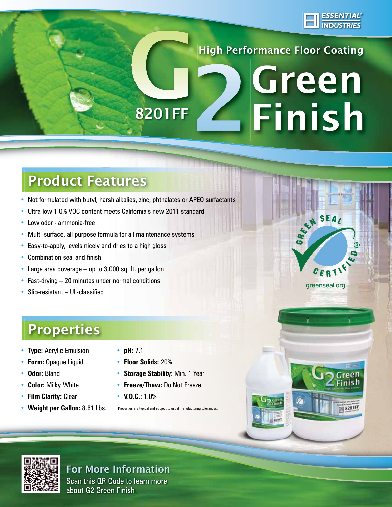

**High Performance Floor Coating** 

## Green **Einish** 8201FF

## Product Features

- Not formulated with butyl, harsh alkalies, zinc, phthalates or APEO surfactants
- Ultra-low 1.0% VOC content meets California's new 2011 standard
- Low odor ammonia-free
- Multi-surface, all-purpose formula for all maintenance systems
- Easy-to-apply, levels nicely and dries to a high gloss
- Combination seal and finish
- Large area coverage  $-$  up to 3,000 sq. ft. per gallon
- Fast-drying  $-20$  minutes under normal conditions
- Slip-resistant UL-classified



- • **Type:** Acrylic Emulsion
- **Form:** Opaque Liquid
- • **Odor:** Bland
- **Color:** Milky White
- **Film Clarity:** Clear
- **Weight per Gallon:** 8.61 Lbs.
- **pH:** 7.1
- **Floor Solids:** 20%
- **Storage Stability:** Min. 1 Year
- **Freeze/Thaw:** Do Not Freeze
- **V.O.C.:** 1.0%

Properties are typical and subject to usual manufacturing



### For More Information

Scan this QR Code to learn more about G2 Green Finish.



Green Finish

S201FF